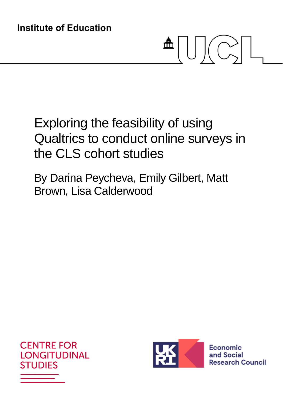# $\frac{1}{\sqrt{2\pi}}\left|\left[\begin{array}{c} 1 \\ 0 \end{array}\right]\right|\left[\begin{array}{c} 1 \\ 0 \end{array}\right].$

# Exploring the feasibility of using Qualtrics to conduct online surveys in the CLS cohort studies

By Darina Peycheva, Emily Gilbert, Matt Brown, Lisa Calderwood





Economic and Social **Research Council**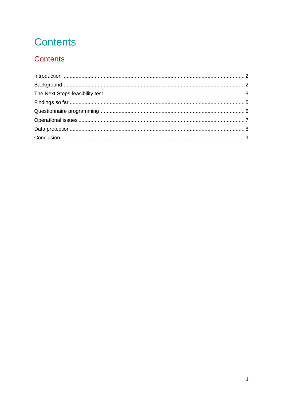# **Contents**

# Contents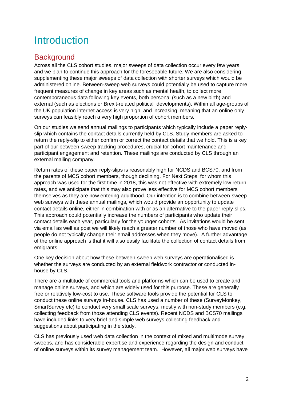# Introduction

# **Background**

Across all the CLS cohort studies, major sweeps of data collection occur every few years and we plan to continue this approach for the foreseeable future. We are also considering supplementing these major sweeps of data collection with shorter surveys which would be administered online. Between-sweep web surveys could potentially be used to capture more frequent measures of change in key areas such as mental health, to collect more contemporaneous data following key events, both personal (such as a new birth) and external (such as elections or Brexit-related political developments). Within all age-groups of the UK population internet access is very high, and increasing, meaning that an online only surveys can feasibly reach a very high proportion of cohort members.

On our studies we send annual mailings to participants which typically include a paper replyslip which contains the contact details currently held by CLS. Study members are asked to return the reply-slip to either confirm or correct the contact details that we hold. This is a key part of our between-sweep tracking procedures, crucial for cohort maintenance and participant engagement and retention. These mailings are conducted by CLS through an external mailing company.

Return rates of these paper reply-slips is reasonably high for NCDS and BCS70, and from the parents of MCS cohort members, though declining. For Next Steps, for whom this approach was used for the first time in 2018, this was not effective with extremely low returnrates, and we anticipate that this may also prove less effective for MCS cohort members themselves as they are now entering adulthood. Our intention is to combine between-sweep web surveys with these annual mailings, which would provide an opportunity to update contact details online, either in combination with or as an alternative to the paper reply-slips. This approach could potentially increase the numbers of participants who update their contact details each year, particularly for the younger cohorts. As invitations would be sent via email as well as post we will likely reach a greater number of those who have moved (as people do not typically change their email addresses when they move). A further advantage of the online approach is that it will also easily facilitate the collection of contact details from emigrants.

One key decision about how these between-sweep web surveys are operationalised is whether the surveys are conducted by an external fieldwork contractor or conducted inhouse by CLS.

There are a multitude of commercial tools and platforms which can be used to create and manage online surveys, and which are widely used for this purpose. These are generally free or relatively low-cost to use. These software tools provide the potential for CLS to conduct these online surveys in-house. CLS has used a number of these (SurveyMonkey, SmartSurvey etc) to conduct very small scale surveys, mostly with non-study members (e.g. collecting feedback from those attending CLS events). Recent NCDS and BCS70 mailings have included links to very brief and simple web surveys collecting feedback and suggestions about participating in the study.

CLS has previously used web data collection in the context of mixed and multimode survey sweeps, and has considerable expertise and experience regarding the design and conduct of online surveys within its survey management team. However, all major web surveys have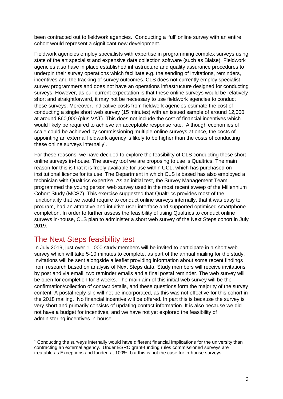been contracted out to fieldwork agencies. Conducting a 'full' online survey with an entire cohort would represent a significant new development.

Fieldwork agencies employ specialists with expertise in programming complex surveys using state of the art specialist and expensive data collection software (such as Blaise). Fieldwork agencies also have in place established infrastructure and quality assurance procedures to underpin their survey operations which facilitate e.g. the sending of invitations, reminders, incentives and the tracking of survey outcomes. CLS does not currently employ specialist survey programmers and does not have an operations infrastructure designed for conducting surveys. However, as our current expectation is that these online surveys would be relatively short and straightforward, it may not be necessary to use fieldwork agencies to conduct these surveys. Moreover, indicative costs from fieldwork agencies estimate the cost of conducting a single short web survey (15 minutes) with an issued sample of around 12,000 at around £60,000 (plus VAT). This does not include the cost of financial incentives which would likely be required to achieve an acceptable response rate. Although economies of scale could be achieved by commissioning multiple online surveys at once, the costs of appointing an external fieldwork agency is likely to be higher than the costs of conducting these online surveys internally<sup>1</sup>.

For these reasons, we have decided to explore the feasibility of CLS conducting these short online surveys in-house. The survey tool we are proposing to use is Qualtrics. The main reason for this is that it is freely available for use within UCL, which has purchased on institutional licence for its use. The Department in which CLS is based has also employed a technician with Qualtrics expertise. As an initial test, the Survey Management Team programmed the young person web survey used in the most recent sweep of the Millennium Cohort Study (MCS7). This exercise suggested that Qualtrics provides most of the functionality that we would require to conduct online surveys internally, that it was easy to program, had an attractive and intuitive user-interface and supported optimised smartphone completion. In order to further assess the feasibility of using Qualtrics to conduct online surveys in-house, CLS plan to administer a short web survey of the Next Steps cohort in July 2019.

# The Next Steps feasibility test

In July 2019, just over 11,000 study members will be invited to participate in a short web survey which will take 5-10 minutes to complete, as part of the annual mailing for the study. Invitations will be sent alongside a leaflet providing information about some recent findings from research based on analysis of Next Steps data. Study members will receive invitations by post and via email, two reminder emails and a final postal reminder. The web survey will be open for completion for 3 weeks. The main aim of this initial web survey will be the confirmation/collection of contact details, and these questions form the majority of the survey content. A postal reply-slip will not be incorporated, as this was not effective for this cohort in the 2018 mailing. No financial incentive will be offered. In part this is because the survey is very short and primarily consists of updating contact information. It is also because we did not have a budget for incentives, and we have not yet explored the feasibility of administering incentives in-house.

<sup>1</sup> Conducting the surveys internally would have different financial implications for the university than contracting an external agency. Under ESRC grant-funding rules commissioned surveys are treatable as Exceptions and funded at 100%, but this is not the case for in-house surveys.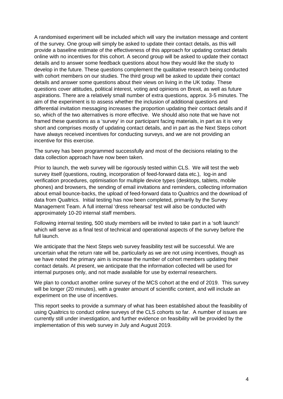A randomised experiment will be included which will vary the invitation message and content of the survey. One group will simply be asked to update their contact details, as this will provide a baseline estimate of the effectiveness of this approach for updating contact details online with no incentives for this cohort. A second group will be asked to update their contact details and to answer some feedback questions about how they would like the study to develop in the future. These questions complement the qualitative research being conducted with cohort members on our studies. The third group will be asked to update their contact details and answer some questions about their views on living in the UK today. These questions cover attitudes, political interest, voting and opinions on Brexit, as well as future aspirations. There are a relatively small number of extra questions, approx. 3-5 minutes. The aim of the experiment is to assess whether the inclusion of additional questions and differential invitation messaging increases the proportion updating their contact details and if so, which of the two alternatives is more effective. We should also note that we have not framed these questions as a 'survey' in our participant facing materials, in part as it is very short and comprises mostly of updating contact details, and in part as the Next Steps cohort have always received incentives for conducting surveys, and we are not providing an incentive for this exercise.

The survey has been programmed successfully and most of the decisions relating to the data collection approach have now been taken.

Prior to launch, the web survey will be rigorously tested within CLS. We will test the web survey itself (questions, routing, incorporation of feed-forward data etc.), log-in and verification procedures, optimisation for multiple device types (desktops, tablets, mobile phones) and browsers, the sending of email invitations and reminders, collecting information about email bounce-backs, the upload of feed-forward data to Qualtrics and the download of data from Qualtrics. Initial testing has now been completed, primarily by the Survey Management Team. A full internal 'dress rehearsal' test will also be conducted with approximately 10-20 internal staff members.

Following internal testing, 500 study members will be invited to take part in a 'soft launch' which will serve as a final test of technical and operational aspects of the survey before the full launch.

We anticipate that the Next Steps web survey feasibility test will be successful. We are uncertain what the return rate will be, particularly as we are not using incentives, though as we have noted the primary aim is increase the number of cohort members updating their contact details. At present, we anticipate that the information collected will be used for internal purposes only, and not made available for use by external researchers.

We plan to conduct another online survey of the MCS cohort at the end of 2019. This survey will be longer (20 minutes), with a greater amount of scientific content, and will include an experiment on the use of incentives.

This report seeks to provide a summary of what has been established about the feasibility of using Qualtrics to conduct online surveys of the CLS cohorts so far. A number of issues are currently still under investigation, and further evidence on feasibility will be provided by the implementation of this web survey in July and August 2019.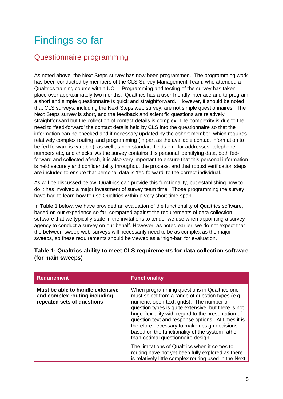# Findings so far

# Questionnaire programming

As noted above, the Next Steps survey has now been programmed. The programming work has been conducted by members of the CLS Survey Management Team, who attended a Qualtrics training course within UCL. Programming and testing of the survey has taken place over approximately two months. Qualtrics has a user-friendly interface and to program a short and simple questionnaire is quick and straightforward. However, it should be noted that CLS surveys, including the Next Steps web survey, are not simple questionnaires. The Next Steps survey is short, and the feedback and scientific questions are relatively straightforward but the collection of contact details is complex. The complexity is due to the need to 'feed-forward' the contact details held by CLS into the questionnaire so that the information can be checked and if necessary updated by the cohort member, which requires relatively complex routing and programming (in part as the available contact information to be fed forward is variable), as well as non-standard fields e.g. for addresses, telephone numbers etc, and checks. As the survey contains this personal identifying data, both fedforward and collected afresh, it is also very important to ensure that this personal information is held securely and confidentiality throughout the process, and that robust verification steps are included to ensure that personal data is 'fed-forward' to the correct individual.

As will be discussed below, Qualtrics can provide this functionality, but establishing how to do it has involved a major investment of survey team time. Those programming the survey have had to learn how to use Qualtrics within a very short time-span.

In Table 1 below, we have provided an evaluation of the functionality of Qualtrics software, based on our experience so far, compared against the requirements of data collection software that we typically state in the invitations to tender we use when appointing a survey agency to conduct a survey on our behalf. However, as noted earlier, we do not expect that the between-sweep web-surveys will necessarily need to be as complex as the major sweeps, so these requirements should be viewed as a 'high-bar' for evaluation.

## **Table 1: Qualtrics ability to meet CLS requirements for data collection software (for main sweeps)**

| <b>Requirement</b>                                                                              | <b>Functionality</b>                                                                                                                                                                                                                                                                                                                                                                                                                                      |
|-------------------------------------------------------------------------------------------------|-----------------------------------------------------------------------------------------------------------------------------------------------------------------------------------------------------------------------------------------------------------------------------------------------------------------------------------------------------------------------------------------------------------------------------------------------------------|
| Must be able to handle extensive<br>and complex routing including<br>repeated sets of questions | When programming questions in Qualtrics one<br>must select from a range of question types (e.g.<br>numeric, open-text, grids). The number of<br>question types is quite extensive, but there is not<br>huge flexibility with regard to the presentation of<br>question text and response options. At times it is<br>therefore necessary to make design decisions<br>based on the functionality of the system rather<br>than optimal questionnaire design. |
|                                                                                                 | The limitations of Qualtrics when it comes to<br>routing have not yet been fully explored as there<br>is relatively little complex routing used in the Next                                                                                                                                                                                                                                                                                               |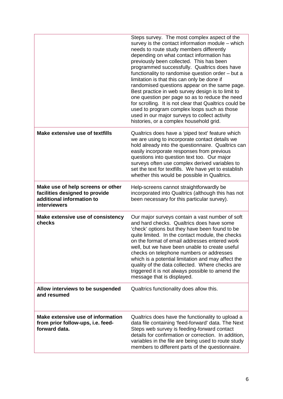|                                                                                                                         | Steps survey. The most complex aspect of the<br>survey is the contact information module – which<br>needs to route study members differently<br>depending on what contact information has<br>previously been collected. This has been<br>programmed successfully. Qualtrics does have<br>functionality to randomise question order - but a<br>limitation is that this can only be done if<br>randomised questions appear on the same page.<br>Best practice in web survey design is to limit to<br>one question per page so as to reduce the need<br>for scrolling. It is not clear that Qualtrics could be<br>used to program complex loops such as those<br>used in our major surveys to collect activity<br>histories, or a complex household grid. |
|-------------------------------------------------------------------------------------------------------------------------|--------------------------------------------------------------------------------------------------------------------------------------------------------------------------------------------------------------------------------------------------------------------------------------------------------------------------------------------------------------------------------------------------------------------------------------------------------------------------------------------------------------------------------------------------------------------------------------------------------------------------------------------------------------------------------------------------------------------------------------------------------|
| Make extensive use of textfills                                                                                         | Qualtrics does have a 'piped text' feature which<br>we are using to incorporate contact details we<br>hold already into the questionnaire. Qualtrics can<br>easily incorporate responses from previous<br>questions into question text too. Our major<br>surveys often use complex derived variables to<br>set the text for textfills. We have yet to establish<br>whether this would be possible in Qualtrics.                                                                                                                                                                                                                                                                                                                                        |
| Make use of help screens or other<br>facilities designed to provide<br>additional information to<br><b>interviewers</b> | Help-screens cannot straightforwardly be<br>incorporated into Qualtrics (although this has not<br>been necessary for this particular survey).                                                                                                                                                                                                                                                                                                                                                                                                                                                                                                                                                                                                          |
| Make extensive use of consistency<br>checks                                                                             | Our major surveys contain a vast number of soft<br>and hard checks. Qualtrics does have some<br>'check' options but they have been found to be<br>quite limited. In the contact module, the checks<br>on the format of email addresses entered work<br>well, but we have been unable to create useful<br>checks on telephone numbers or addresses<br>which is a potential limitation and may affect the<br>quality of the data collected. Where checks are<br>triggered it is not always possible to amend the<br>message that is displayed.                                                                                                                                                                                                           |
| Allow interviews to be suspended<br>and resumed                                                                         | Qualtrics functionality does allow this.                                                                                                                                                                                                                                                                                                                                                                                                                                                                                                                                                                                                                                                                                                               |
| Make extensive use of information<br>from prior follow-ups, i.e. feed-<br>forward data.                                 | Qualtrics does have the functionality to upload a<br>data file containing 'feed-forward' data. The Next<br>Steps web survey is feeding-forward contact<br>details for confirmation or correction. In addition,<br>variables in the file are being used to route study<br>members to different parts of the questionnaire.                                                                                                                                                                                                                                                                                                                                                                                                                              |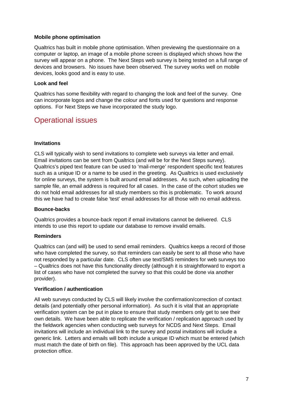### **Mobile phone optimisation**

Qualtrics has built in mobile phone optimisation. When previewing the questionnaire on a computer or laptop, an image of a mobile phone screen is displayed which shows how the survey will appear on a phone. The Next Steps web survey is being tested on a full range of devices and browsers. No issues have been observed. The survey works well on mobile devices, looks good and is easy to use.

### **Look and feel**

Qualtrics has some flexibility with regard to changing the look and feel of the survey. One can incorporate logos and change the colour and fonts used for questions and response options. For Next Steps we have incorporated the study logo.

# Operational issues

### **Invitations**

CLS will typically wish to send invitations to complete web surveys via letter and email. Email invitations can be sent from Qualtrics (and will be for the Next Steps survey). Qualtrics's piped text feature can be used to 'mail-merge' respondent specific text features such as a unique ID or a name to be used in the greeting. As Qualtrics is used exclusively for online surveys, the system is built around email addresses. As such, when uploading the sample file, an email address is required for all cases. In the case of the cohort studies we do not hold email addresses for all study members so this is problematic. To work around this we have had to create false 'test' email addresses for all those with no email address.

#### **Bounce-backs**

Qualtrics provides a bounce-back report if email invitations cannot be delivered. CLS intends to use this report to update our database to remove invalid emails.

## **Reminders**

Qualtrics can (and will) be used to send email reminders. Qualtrics keeps a record of those who have completed the survey, so that reminders can easily be sent to all those who have not responded by a particular date. CLS often use text/SMS reminders for web surveys too – Qualtrics does not have this functionality directly (although it is straightforward to export a list of cases who have not completed the survey so that this could be done via another provider).

#### **Verification / authentication**

All web surveys conducted by CLS will likely involve the confirmation/correction of contact details (and potentially other personal information). As such it is vital that an appropriate verification system can be put in place to ensure that study members only get to see their own details. We have been able to replicate the verification / replication approach used by the fieldwork agencies when conducting web surveys for NCDS and Next Steps. Email invitations will include an individual link to the survey and postal invitations will include a generic link. Letters and emails will both include a unique ID which must be entered (which must match the date of birth on file). This approach has been approved by the UCL data protection office.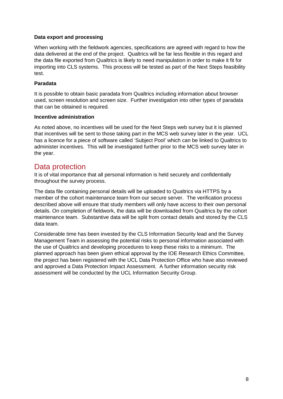## **Data export and processing**

When working with the fieldwork agencies, specifications are agreed with regard to how the data delivered at the end of the project. Qualtrics will be far less flexible in this regard and the data file exported from Qualtrics is likely to need manipulation in order to make it fit for importing into CLS systems. This process will be tested as part of the Next Steps feasibility test.

#### **Paradata**

It is possible to obtain basic paradata from Qualtrics including information about browser used, screen resolution and screen size. Further investigation into other types of paradata that can be obtained is required.

#### **Incentive administration**

As noted above, no incentives will be used for the Next Steps web survey but it is planned that incentives will be sent to those taking part in the MCS web survey later in the year. UCL has a licence for a piece of software called 'Subject Pool' which can be linked to Qualtrics to administer incentives. This will be investigated further prior to the MCS web survey later in the year.

## Data protection

It is of vital importance that all personal information is held securely and confidentially throughout the survey process.

The data file containing personal details will be uploaded to Qualtrics via HTTPS by a member of the cohort maintenance team from our secure server. The verification process described above will ensure that study members will only have access to their own personal details. On completion of fieldwork, the data will be downloaded from Qualtrics by the cohort maintenance team. Substantive data will be split from contact details and stored by the CLS data team.

Considerable time has been invested by the CLS Information Security lead and the Survey Management Team in assessing the potential risks to personal information associated with the use of Qualtrics and developing procedures to keep these risks to a minimum. The planned approach has been given ethical approval by the IOE Research Ethics Committee, the project has been registered with the UCL Data Protection Office who have also reviewed and approved a Data Protection Impact Assessment. A further information security risk assessment will be conducted by the UCL Information Security Group.